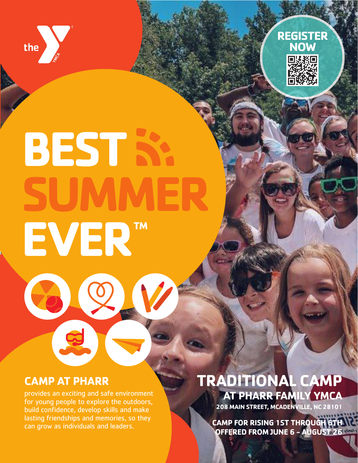



# **CAMP AT PHARR**

provides an exciting and safe environment for young people to explore the outdoors, build confidence, develop skills and make lasting friendships and memories, so they can grow as individuals and leaders.

# **TRADITIONAL CAMP AT PHARR FAMILY YMCA**

**208 MAIN STREET, MCADENVILLE, NC 28101**

**CAMP FOR RISING 1ST THROUGH 6TH OFFERED FROM JUNE 6 - AUGUST 26**

**REGISTER NOW**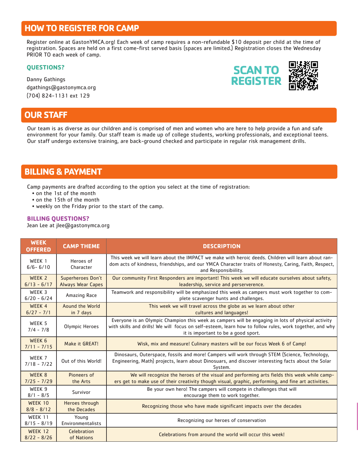## **HOW TO REGISTER FOR CAMP**

Register online at GastonYMCA.org! Each week of camp requires a non-refundable \$10 deposit per child at the time of registration. Spaces are held on a first come-first served basis (spaces are limited.) Registration closes the Wednesday PRIOR TO each week of camp.

#### **QUESTIONS?**

Danny Gathings dgathings@gastonymca.org (704) 824-1131 ext 129

## **OUR STAFF**

Our team is as diverse as our children and is comprised of men and women who are here to help provide a fun and safe environment for your family. Our staff team is made up of college students, working professionals, and exceptional teens. Our staff undergo extensive training, are back-ground checked and participate in regular risk management drills.

### **BILLING & PAYMENT**

Camp payments are drafted according to the option you select at the time of registration:

- on the 1st of the month
- on the 15th of the month
- weekly on the Friday prior to the start of the camp.

#### **BILLING QUESTIONS?**

Jean Lee at jlee@gastonymca.org

| <b>WEEK</b><br><b>OFFERED</b>      | <b>CAMP THEME</b>                             | <b>DESCRIPTION</b>                                                                                                                                                                                                                                   |
|------------------------------------|-----------------------------------------------|------------------------------------------------------------------------------------------------------------------------------------------------------------------------------------------------------------------------------------------------------|
| WFFK 1<br>$6/6 - 6/10$             | Heroes of<br>Character                        | This week we will learn about the IMPACT we make with heroic deeds. Children will learn about ran-<br>dom acts of kindness, friendships, and our YMCA Character traits of Honesty, Caring, Faith, Respect,<br>and Responsibiility.                   |
| WEEK <sub>2</sub><br>$6/13 - 6/17$ | Superheroes Don't<br><b>Always Wear Capes</b> | Our community First Responders are important! This week we will educate ourselves about safety,<br>leadership, service and perserverence.                                                                                                            |
| WEEK 3<br>$6/20 - 6/24$            | Amazing Race                                  | Teamwork and responsibility will be emphasized this week as campers must work together to com-<br>plete scavenger hunts and challenges.                                                                                                              |
| WEEK 4<br>$6/27 - 7/1$             | Aound the World<br>in 7 days                  | This week we will travel across the globe as we learn about other<br>cultures and languages!                                                                                                                                                         |
| WEEK 5<br>$7/4 - 7/8$              | Olympic Heroes                                | Everyone is an Olympic Champion this week as campers will be engaging in lots of physical activity<br>with skills and drills! We will focus on self-esteem, learn how to follow rules, work together, and why<br>it is important to be a good sport. |
| WEEK 6<br>$7/11 - 7/15$            | Make it GREAT!                                | Wisk, mix and measure! Culinary masters will be our focus Week 6 of Camp!                                                                                                                                                                            |
| WEEK 7<br>$7/18 - 7/22$            | Out of this World!                            | Dinosaurs, Outerspace, fossils and more! Campers will work through STEM (Science, Technology,<br>Engineering, Math) projects, learn about Dinosuars, and discover interesting facts about the Solar<br>System.                                       |
| WEEK 8<br>$7/25 - 7/29$            | Pioneers of<br>the Arts                       | We will recognize the heroes of the visual and performing arts fields this week while camp-<br>ers get to make use of their creativity though visual, graphic, performing, and fine art activities.                                                  |
| WEEK 9<br>$8/1 - 8/5$              | Survivor                                      | Be your own hero! The campers will compete in challenges that will<br>encourage them to work together.                                                                                                                                               |
| <b>WEEK 10</b><br>$8/8 - 8/12$     | <b>Heroes through</b><br>the Decades          | Recognizing those who have made significant impacts over the decades                                                                                                                                                                                 |
| WFFK 11<br>$8/15 - 8/19$           | Young<br>Environmentalists                    | Recognizing our heroes of conservation                                                                                                                                                                                                               |
| WEEK 12<br>$8/22 - 8/26$           | Celebration<br>of Nations                     | Celebrations from around the world will occur this week!                                                                                                                                                                                             |

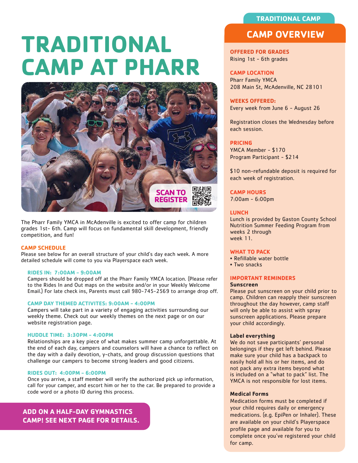#### **TRADITIONAL CAMP**

# **TRADITIONAL CAMP AT PHARR**



The Pharr Family YMCA in McAdenville is excited to offer camp for children grades 1st- 6th. Camp will focus on fundamental skill development, friendly competition, and fun!

#### **CAMP SCHEDULE**

Please see below for an overall structure of your child's day each week. A more detailed schedule will come to you via Playerspace each week.

#### **RIDES IN: 7:00AM - 9:00AM**

Campers should be dropped off at the Pharr Family YMCA location. (Please refer to the Rides In and Out maps on the website and/or in your Weekly Welcome Email.) For late check ins, Parents must call 980-745-2569 to arrange drop off.

#### **CAMP DAY THEMED ACTIVITES: 9:00AM - 4:00PM**

Campers will take part in a variety of engaging activities surrounding our weekly theme. Check out our weekly themes on the next page or on our website registration page.

#### **HUDDLE TIME: 3:30PM - 4:00PM**

Relationships are a key piece of what makes summer camp unforgettable. At the end of each day, campers and counselors will have a chance to reflect on the day with a daily devotion, y-chats, and group discussion questions that challenge our campers to become strong leaders and good citizens.

#### **RIDES OUT: 4:00PM - 6:00PM**

Once you arrive, a staff member will verify the authorized pick up information, call for your camper, and escort him or her to the car. Be prepared to provide a code word or a photo ID during this process.

**ADD ON A HALF-DAY GYMNASTICS CAMP! SEE NEXT PAGE FOR DETAILS.**

### **CAMP OVERVIEW**

#### **OFFERED FOR GRADES** Rising 1st - 6th grades

#### **CAMP LOCATION**

Pharr Family YMCA 208 Main St, McAdenville, NC 28101

#### **WEEKS OFFERED:**

Every week from June 6 - August 26

Registration closes the Wednesday before each session.

#### **PRICING**

YMCA Member - \$170 Program Participant - \$214

\$10 non-refundable deposit is required for each week of registration.

#### **CAMP HOURS**

7:00am - 6:00pm

#### **LUNCH**

Lunch is provided by Gaston County School Nutrition Summer Feeding Program from weeks 2 through week 11.

#### **WHAT TO PACK**

- Refillable water bottle
- Two snacks

#### **IMPORTANT REMINDERS**

#### **Sunscreen**

Please put sunscreen on your child prior to camp. Children can reapply their sunscreen throughout the day however, camp staff will only be able to assist with spray sunscreen applications. Please prepare your child accordingly.

#### **Label everything**

We do not save participants' personal belongings if they get left behind. Please make sure your child has a backpack to easily hold all his or her items, and do not pack any extra items beyond what is included on a "what to pack" list. The YMCA is not responsible for lost items.

#### **Medical Forms**

Medication forms must be completed if your child requires daily or emergency medications. (e.g. EpiPen or Inhaler). These are available on your child's Playerspace profile page and available for you to complete once you've registered your child for camp.